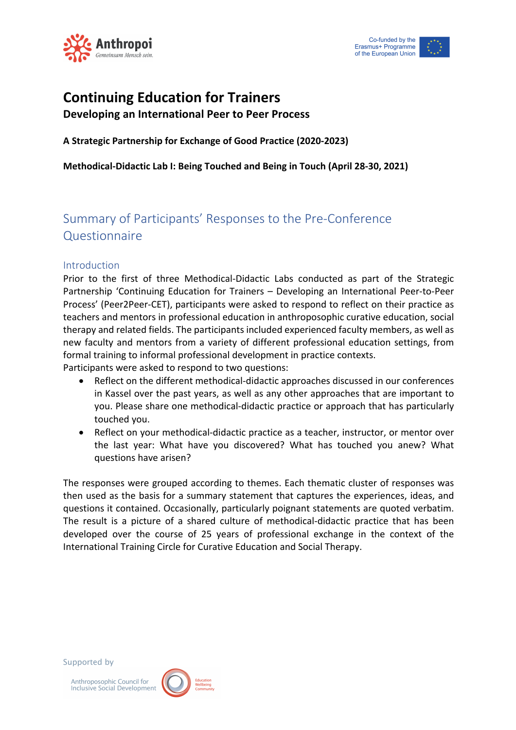



# **Continuing Education for Trainers**

**Developing an International Peer to Peer Process**

**A Strategic Partnership for Exchange of Good Practice (2020-2023)**

**Methodical-Didactic Lab I: Being Touched and Being in Touch (April 28-30, 2021)**

# Summary of Participants' Responses to the Pre-Conference **Questionnaire**

# Introduction

Prior to the first of three Methodical-Didactic Labs conducted as part of the Strategic Partnership 'Continuing Education for Trainers – Developing an International Peer-to-Peer Process' (Peer2Peer-CET), participants were asked to respond to reflect on their practice as teachers and mentors in professional education in anthroposophic curative education, social therapy and related fields. The participants included experienced faculty members, as well as new faculty and mentors from a variety of different professional education settings, from formal training to informal professional development in practice contexts.

Participants were asked to respond to two questions:

- Reflect on the different methodical-didactic approaches discussed in our conferences in Kassel over the past years, as well as any other approaches that are important to you. Please share one methodical-didactic practice or approach that has particularly touched you.
- Reflect on your methodical-didactic practice as a teacher, instructor, or mentor over the last year: What have you discovered? What has touched you anew? What questions have arisen?

The responses were grouped according to themes. Each thematic cluster of responses was then used as the basis for a summary statement that captures the experiences, ideas, and questions it contained. Occasionally, particularly poignant statements are quoted verbatim. The result is a picture of a shared culture of methodical-didactic practice that has been developed over the course of 25 years of professional exchange in the context of the International Training Circle for Curative Education and Social Therapy.

Supported by

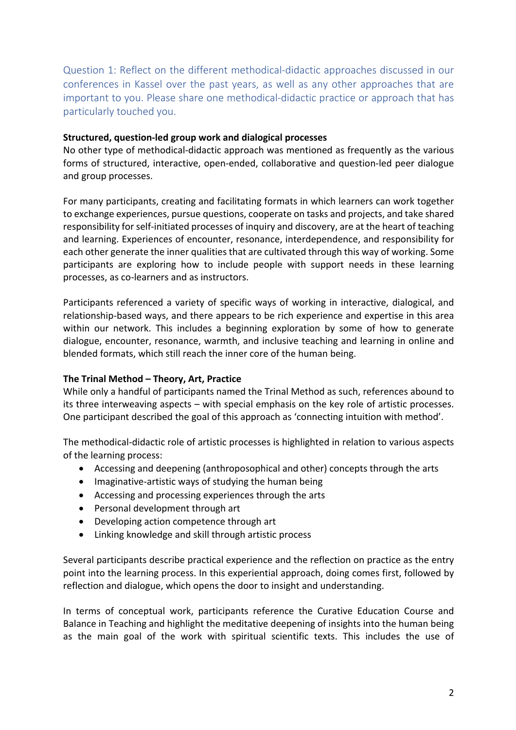Question 1: Reflect on the different methodical-didactic approaches discussed in our conferences in Kassel over the past years, as well as any other approaches that are important to you. Please share one methodical-didactic practice or approach that has particularly touched you.

#### **Structured, question-led group work and dialogical processes**

No other type of methodical-didactic approach was mentioned as frequently as the various forms of structured, interactive, open-ended, collaborative and question-led peer dialogue and group processes.

For many participants, creating and facilitating formats in which learners can work together to exchange experiences, pursue questions, cooperate on tasks and projects, and take shared responsibility for self-initiated processes of inquiry and discovery, are at the heart of teaching and learning. Experiences of encounter, resonance, interdependence, and responsibility for each other generate the inner qualities that are cultivated through this way of working. Some participants are exploring how to include people with support needs in these learning processes, as co-learners and as instructors.

Participants referenced a variety of specific ways of working in interactive, dialogical, and relationship-based ways, and there appears to be rich experience and expertise in this area within our network. This includes a beginning exploration by some of how to generate dialogue, encounter, resonance, warmth, and inclusive teaching and learning in online and blended formats, which still reach the inner core of the human being.

# **The Trinal Method – Theory, Art, Practice**

While only a handful of participants named the Trinal Method as such, references abound to its three interweaving aspects – with special emphasis on the key role of artistic processes. One participant described the goal of this approach as 'connecting intuition with method'.

The methodical-didactic role of artistic processes is highlighted in relation to various aspects of the learning process:

- Accessing and deepening (anthroposophical and other) concepts through the arts
- Imaginative-artistic ways of studying the human being
- Accessing and processing experiences through the arts
- Personal development through art
- Developing action competence through art
- Linking knowledge and skill through artistic process

Several participants describe practical experience and the reflection on practice as the entry point into the learning process. In this experiential approach, doing comes first, followed by reflection and dialogue, which opens the door to insight and understanding.

In terms of conceptual work, participants reference the Curative Education Course and Balance in Teaching and highlight the meditative deepening of insights into the human being as the main goal of the work with spiritual scientific texts. This includes the use of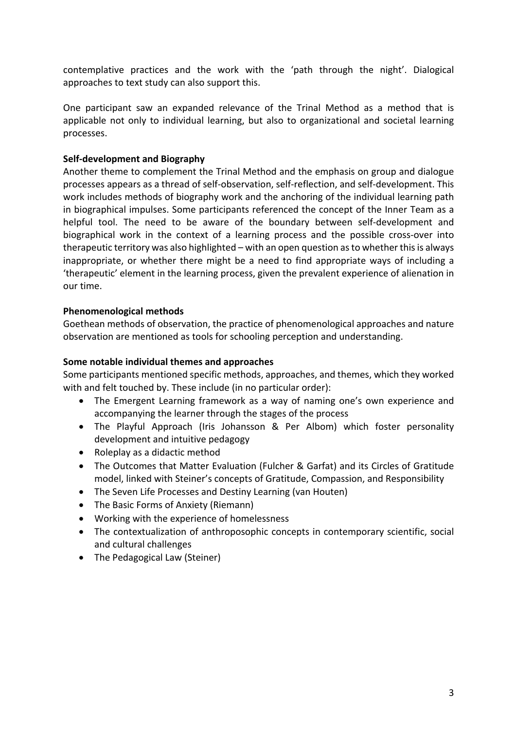contemplative practices and the work with the 'path through the night'. Dialogical approaches to text study can also support this.

One participant saw an expanded relevance of the Trinal Method as a method that is applicable not only to individual learning, but also to organizational and societal learning processes.

#### **Self-development and Biography**

Another theme to complement the Trinal Method and the emphasis on group and dialogue processes appears as a thread of self-observation, self-reflection, and self-development. This work includes methods of biography work and the anchoring of the individual learning path in biographical impulses. Some participants referenced the concept of the Inner Team as a helpful tool. The need to be aware of the boundary between self-development and biographical work in the context of a learning process and the possible cross-over into therapeutic territory was also highlighted – with an open question as to whether this is always inappropriate, or whether there might be a need to find appropriate ways of including a 'therapeutic' element in the learning process, given the prevalent experience of alienation in our time.

# **Phenomenological methods**

Goethean methods of observation, the practice of phenomenological approaches and nature observation are mentioned as tools for schooling perception and understanding.

#### **Some notable individual themes and approaches**

Some participants mentioned specific methods, approaches, and themes, which they worked with and felt touched by. These include (in no particular order):

- The Emergent Learning framework as a way of naming one's own experience and accompanying the learner through the stages of the process
- The Playful Approach (Iris Johansson & Per Albom) which foster personality development and intuitive pedagogy
- Roleplay as a didactic method
- The Outcomes that Matter Evaluation (Fulcher & Garfat) and its Circles of Gratitude model, linked with Steiner's concepts of Gratitude, Compassion, and Responsibility
- The Seven Life Processes and Destiny Learning (van Houten)
- The Basic Forms of Anxiety (Riemann)
- Working with the experience of homelessness
- The contextualization of anthroposophic concepts in contemporary scientific, social and cultural challenges
- The Pedagogical Law (Steiner)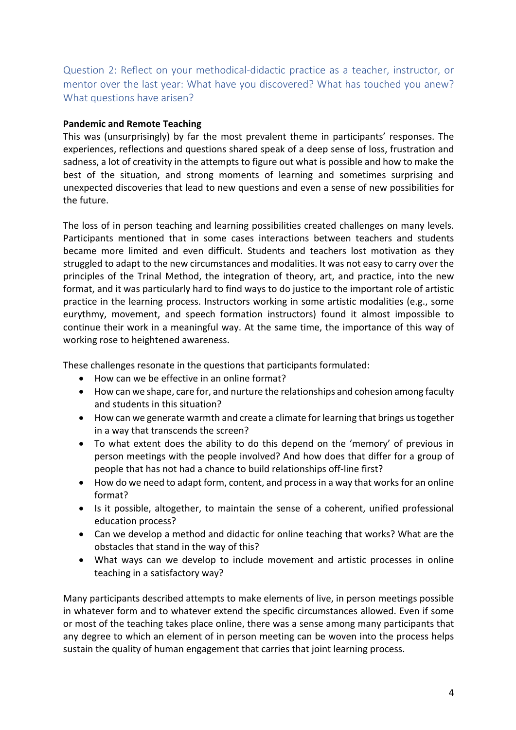Question 2: Reflect on your methodical-didactic practice as a teacher, instructor, or mentor over the last year: What have you discovered? What has touched you anew? What questions have arisen?

#### **Pandemic and Remote Teaching**

This was (unsurprisingly) by far the most prevalent theme in participants' responses. The experiences, reflections and questions shared speak of a deep sense of loss, frustration and sadness, a lot of creativity in the attempts to figure out what is possible and how to make the best of the situation, and strong moments of learning and sometimes surprising and unexpected discoveries that lead to new questions and even a sense of new possibilities for the future.

The loss of in person teaching and learning possibilities created challenges on many levels. Participants mentioned that in some cases interactions between teachers and students became more limited and even difficult. Students and teachers lost motivation as they struggled to adapt to the new circumstances and modalities. It was not easy to carry over the principles of the Trinal Method, the integration of theory, art, and practice, into the new format, and it was particularly hard to find ways to do justice to the important role of artistic practice in the learning process. Instructors working in some artistic modalities (e.g., some eurythmy, movement, and speech formation instructors) found it almost impossible to continue their work in a meaningful way. At the same time, the importance of this way of working rose to heightened awareness.

These challenges resonate in the questions that participants formulated:

- How can we be effective in an online format?
- How can we shape, care for, and nurture the relationships and cohesion among faculty and students in this situation?
- How can we generate warmth and create a climate for learning that brings us together in a way that transcends the screen?
- To what extent does the ability to do this depend on the 'memory' of previous in person meetings with the people involved? And how does that differ for a group of people that has not had a chance to build relationships off-line first?
- How do we need to adapt form, content, and process in a way that works for an online format?
- Is it possible, altogether, to maintain the sense of a coherent, unified professional education process?
- Can we develop a method and didactic for online teaching that works? What are the obstacles that stand in the way of this?
- What ways can we develop to include movement and artistic processes in online teaching in a satisfactory way?

Many participants described attempts to make elements of live, in person meetings possible in whatever form and to whatever extend the specific circumstances allowed. Even if some or most of the teaching takes place online, there was a sense among many participants that any degree to which an element of in person meeting can be woven into the process helps sustain the quality of human engagement that carries that joint learning process.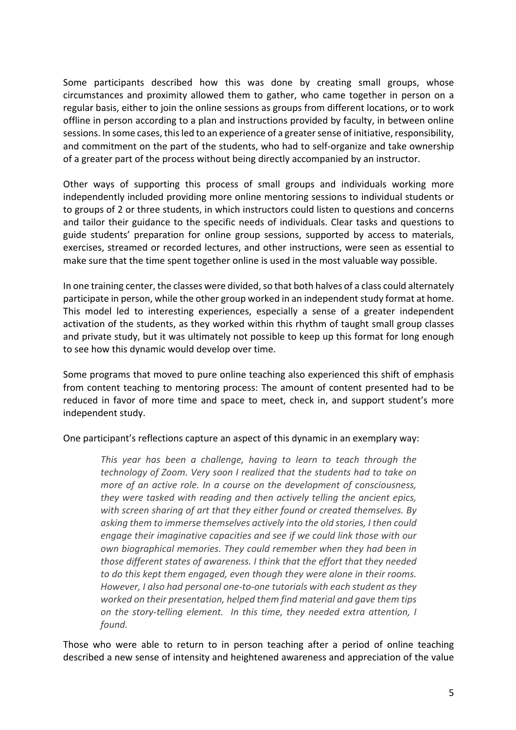Some participants described how this was done by creating small groups, whose circumstances and proximity allowed them to gather, who came together in person on a regular basis, either to join the online sessions as groups from different locations, or to work offline in person according to a plan and instructions provided by faculty, in between online sessions. In some cases, this led to an experience of a greater sense of initiative, responsibility, and commitment on the part of the students, who had to self-organize and take ownership of a greater part of the process without being directly accompanied by an instructor.

Other ways of supporting this process of small groups and individuals working more independently included providing more online mentoring sessions to individual students or to groups of 2 or three students, in which instructors could listen to questions and concerns and tailor their guidance to the specific needs of individuals. Clear tasks and questions to guide students' preparation for online group sessions, supported by access to materials, exercises, streamed or recorded lectures, and other instructions, were seen as essential to make sure that the time spent together online is used in the most valuable way possible.

In one training center, the classes were divided, so that both halves of a class could alternately participate in person, while the other group worked in an independent study format at home. This model led to interesting experiences, especially a sense of a greater independent activation of the students, as they worked within this rhythm of taught small group classes and private study, but it was ultimately not possible to keep up this format for long enough to see how this dynamic would develop over time.

Some programs that moved to pure online teaching also experienced this shift of emphasis from content teaching to mentoring process: The amount of content presented had to be reduced in favor of more time and space to meet, check in, and support student's more independent study.

One participant's reflections capture an aspect of this dynamic in an exemplary way:

*This year has been a challenge, having to learn to teach through the technology of Zoom. Very soon I realized that the students had to take on more of an active role. In a course on the development of consciousness, they were tasked with reading and then actively telling the ancient epics, with screen sharing of art that they either found or created themselves. By asking them to immerse themselves actively into the old stories, I then could engage their imaginative capacities and see if we could link those with our own biographical memories. They could remember when they had been in those different states of awareness. I think that the effort that they needed to do this kept them engaged, even though they were alone in their rooms. However, I also had personal one-to-one tutorials with each student as they worked on their presentation, helped them find material and gave them tips on the story-telling element. In this time, they needed extra attention, I found.*

Those who were able to return to in person teaching after a period of online teaching described a new sense of intensity and heightened awareness and appreciation of the value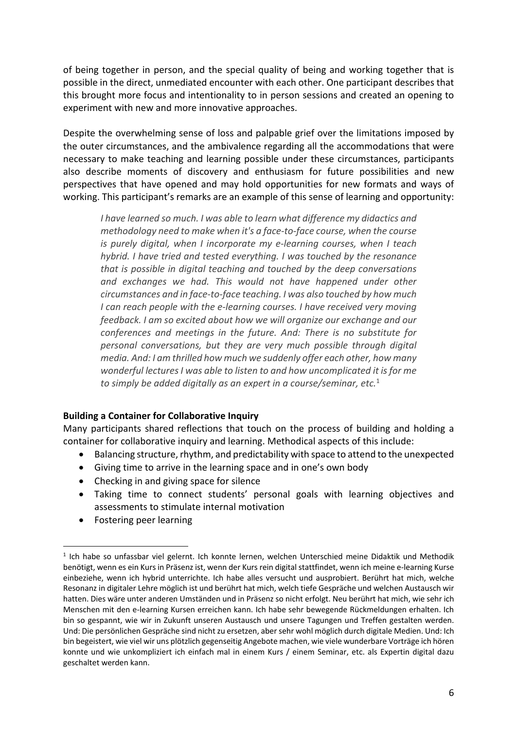of being together in person, and the special quality of being and working together that is possible in the direct, unmediated encounter with each other. One participant describes that this brought more focus and intentionality to in person sessions and created an opening to experiment with new and more innovative approaches.

Despite the overwhelming sense of loss and palpable grief over the limitations imposed by the outer circumstances, and the ambivalence regarding all the accommodations that were necessary to make teaching and learning possible under these circumstances, participants also describe moments of discovery and enthusiasm for future possibilities and new perspectives that have opened and may hold opportunities for new formats and ways of working. This participant's remarks are an example of this sense of learning and opportunity:

*I have learned so much. I was able to learn what difference my didactics and methodology need to make when it's a face-to-face course, when the course is purely digital, when I incorporate my e-learning courses, when I teach hybrid. I have tried and tested everything. I was touched by the resonance that is possible in digital teaching and touched by the deep conversations and exchanges we had. This would not have happened under other circumstances and in face-to-face teaching. I was also touched by how much I can reach people with the e-learning courses. I have received very moving feedback. I am so excited about how we will organize our exchange and our conferences and meetings in the future. And: There is no substitute for personal conversations, but they are very much possible through digital media. And: I am thrilled how much we suddenly offer each other, how many wonderful lectures I was able to listen to and how uncomplicated it is for me to simply be added digitally as an expert in a course/seminar, etc.*<sup>1</sup>

# **Building a Container for Collaborative Inquiry**

Many participants shared reflections that touch on the process of building and holding a container for collaborative inquiry and learning. Methodical aspects of this include:

- Balancing structure, rhythm, and predictability with space to attend to the unexpected
- Giving time to arrive in the learning space and in one's own body
- Checking in and giving space for silence
- Taking time to connect students' personal goals with learning objectives and assessments to stimulate internal motivation
- Fostering peer learning

<sup>&</sup>lt;sup>1</sup> Ich habe so unfassbar viel gelernt. Ich konnte lernen, welchen Unterschied meine Didaktik und Methodik benötigt, wenn es ein Kurs in Präsenz ist, wenn der Kurs rein digital stattfindet, wenn ich meine e-learning Kurse einbeziehe, wenn ich hybrid unterrichte. Ich habe alles versucht und ausprobiert. Berührt hat mich, welche Resonanz in digitaler Lehre möglich ist und berührt hat mich, welch tiefe Gespräche und welchen Austausch wir hatten. Dies wäre unter anderen Umständen und in Präsenz so nicht erfolgt. Neu berührt hat mich, wie sehr ich Menschen mit den e-learning Kursen erreichen kann. Ich habe sehr bewegende Rückmeldungen erhalten. Ich bin so gespannt, wie wir in Zukunft unseren Austausch und unsere Tagungen und Treffen gestalten werden. Und: Die persönlichen Gespräche sind nicht zu ersetzen, aber sehr wohl möglich durch digitale Medien. Und: Ich bin begeistert, wie viel wir uns plötzlich gegenseitig Angebote machen, wie viele wunderbare Vorträge ich hören konnte und wie unkompliziert ich einfach mal in einem Kurs / einem Seminar, etc. als Expertin digital dazu geschaltet werden kann.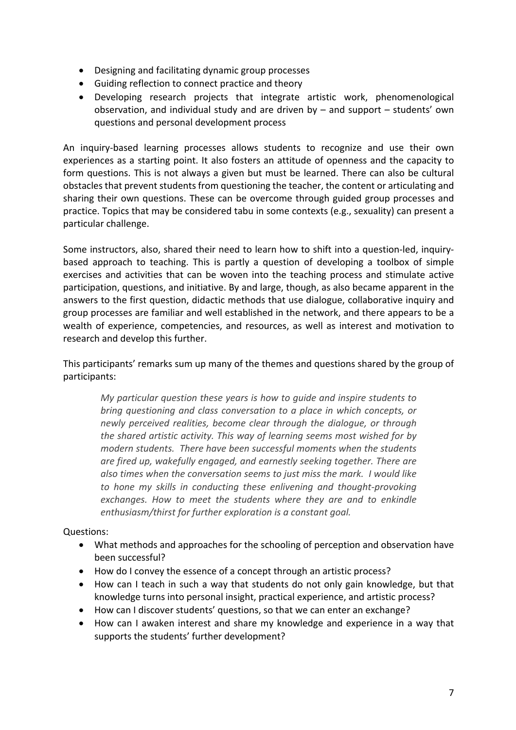- Designing and facilitating dynamic group processes
- Guiding reflection to connect practice and theory
- Developing research projects that integrate artistic work, phenomenological observation, and individual study and are driven by – and support – students' own questions and personal development process

An inquiry-based learning processes allows students to recognize and use their own experiences as a starting point. It also fosters an attitude of openness and the capacity to form questions. This is not always a given but must be learned. There can also be cultural obstacles that prevent students from questioning the teacher, the content or articulating and sharing their own questions. These can be overcome through guided group processes and practice. Topics that may be considered tabu in some contexts (e.g., sexuality) can present a particular challenge.

Some instructors, also, shared their need to learn how to shift into a question-led, inquirybased approach to teaching. This is partly a question of developing a toolbox of simple exercises and activities that can be woven into the teaching process and stimulate active participation, questions, and initiative. By and large, though, as also became apparent in the answers to the first question, didactic methods that use dialogue, collaborative inquiry and group processes are familiar and well established in the network, and there appears to be a wealth of experience, competencies, and resources, as well as interest and motivation to research and develop this further.

This participants' remarks sum up many of the themes and questions shared by the group of participants:

*My particular question these years is how to guide and inspire students to bring questioning and class conversation to a place in which concepts, or newly perceived realities, become clear through the dialogue, or through the shared artistic activity. This way of learning seems most wished for by modern students. There have been successful moments when the students are fired up, wakefully engaged, and earnestly seeking together. There are also times when the conversation seems to just miss the mark. I would like to hone my skills in conducting these enlivening and thought-provoking exchanges. How to meet the students where they are and to enkindle enthusiasm/thirst for further exploration is a constant goal.*

# Questions:

- What methods and approaches for the schooling of perception and observation have been successful?
- How do I convey the essence of a concept through an artistic process?
- How can I teach in such a way that students do not only gain knowledge, but that knowledge turns into personal insight, practical experience, and artistic process?
- How can I discover students' questions, so that we can enter an exchange?
- How can I awaken interest and share my knowledge and experience in a way that supports the students' further development?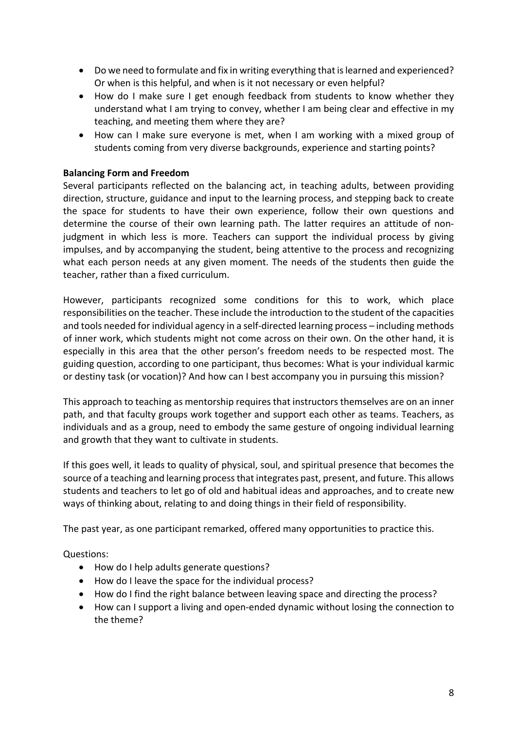- Do we need to formulate and fix in writing everything that is learned and experienced? Or when is this helpful, and when is it not necessary or even helpful?
- How do I make sure I get enough feedback from students to know whether they understand what I am trying to convey, whether I am being clear and effective in my teaching, and meeting them where they are?
- How can I make sure everyone is met, when I am working with a mixed group of students coming from very diverse backgrounds, experience and starting points?

#### **Balancing Form and Freedom**

Several participants reflected on the balancing act, in teaching adults, between providing direction, structure, guidance and input to the learning process, and stepping back to create the space for students to have their own experience, follow their own questions and determine the course of their own learning path. The latter requires an attitude of nonjudgment in which less is more. Teachers can support the individual process by giving impulses, and by accompanying the student, being attentive to the process and recognizing what each person needs at any given moment. The needs of the students then guide the teacher, rather than a fixed curriculum.

However, participants recognized some conditions for this to work, which place responsibilities on the teacher. These include the introduction to the student of the capacities and tools needed for individual agency in a self-directed learning process – including methods of inner work, which students might not come across on their own. On the other hand, it is especially in this area that the other person's freedom needs to be respected most. The guiding question, according to one participant, thus becomes: What is your individual karmic or destiny task (or vocation)? And how can I best accompany you in pursuing this mission?

This approach to teaching as mentorship requires that instructors themselves are on an inner path, and that faculty groups work together and support each other as teams. Teachers, as individuals and as a group, need to embody the same gesture of ongoing individual learning and growth that they want to cultivate in students.

If this goes well, it leads to quality of physical, soul, and spiritual presence that becomes the source of a teaching and learning process that integrates past, present, and future. This allows students and teachers to let go of old and habitual ideas and approaches, and to create new ways of thinking about, relating to and doing things in their field of responsibility.

The past year, as one participant remarked, offered many opportunities to practice this.

Questions:

- How do I help adults generate questions?
- How do I leave the space for the individual process?
- How do I find the right balance between leaving space and directing the process?
- How can I support a living and open-ended dynamic without losing the connection to the theme?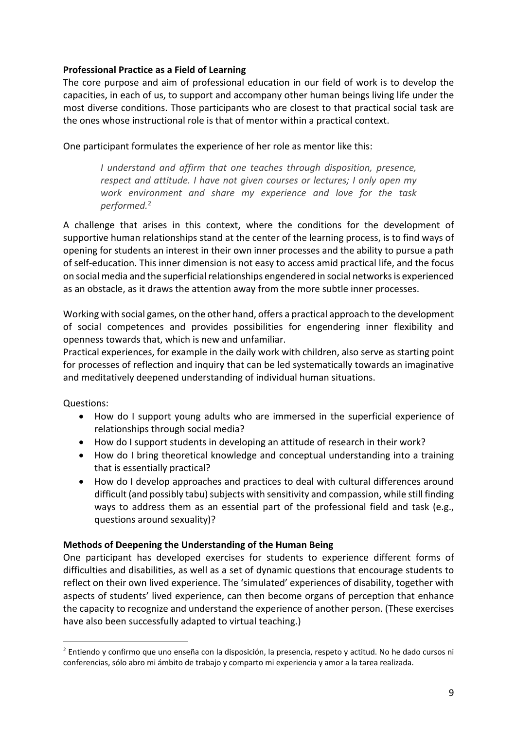# **Professional Practice as a Field of Learning**

The core purpose and aim of professional education in our field of work is to develop the capacities, in each of us, to support and accompany other human beings living life under the most diverse conditions. Those participants who are closest to that practical social task are the ones whose instructional role is that of mentor within a practical context.

One participant formulates the experience of her role as mentor like this:

*I understand and affirm that one teaches through disposition, presence, respect and attitude. I have not given courses or lectures; I only open my work environment and share my experience and love for the task performed.*<sup>2</sup>

A challenge that arises in this context, where the conditions for the development of supportive human relationships stand at the center of the learning process, is to find ways of opening for students an interest in their own inner processes and the ability to pursue a path of self-education. This inner dimension is not easy to access amid practical life, and the focus on social media and the superficial relationships engendered in social networks is experienced as an obstacle, as it draws the attention away from the more subtle inner processes.

Working with social games, on the other hand, offers a practical approach to the development of social competences and provides possibilities for engendering inner flexibility and openness towards that, which is new and unfamiliar.

Practical experiences, for example in the daily work with children, also serve as starting point for processes of reflection and inquiry that can be led systematically towards an imaginative and meditatively deepened understanding of individual human situations.

Questions:

- How do I support young adults who are immersed in the superficial experience of relationships through social media?
- How do I support students in developing an attitude of research in their work?
- How do I bring theoretical knowledge and conceptual understanding into a training that is essentially practical?
- How do I develop approaches and practices to deal with cultural differences around difficult (and possibly tabu) subjects with sensitivity and compassion, while still finding ways to address them as an essential part of the professional field and task (e.g., questions around sexuality)?

# **Methods of Deepening the Understanding of the Human Being**

One participant has developed exercises for students to experience different forms of difficulties and disabilities, as well as a set of dynamic questions that encourage students to reflect on their own lived experience. The 'simulated' experiences of disability, together with aspects of students' lived experience, can then become organs of perception that enhance the capacity to recognize and understand the experience of another person. (These exercises have also been successfully adapted to virtual teaching.)

<sup>2</sup> Entiendo y confirmo que uno enseña con la disposición, la presencia, respeto y actitud. No he dado cursos ni conferencias, sólo abro mi ámbito de trabajo y comparto mi experiencia y amor a la tarea realizada.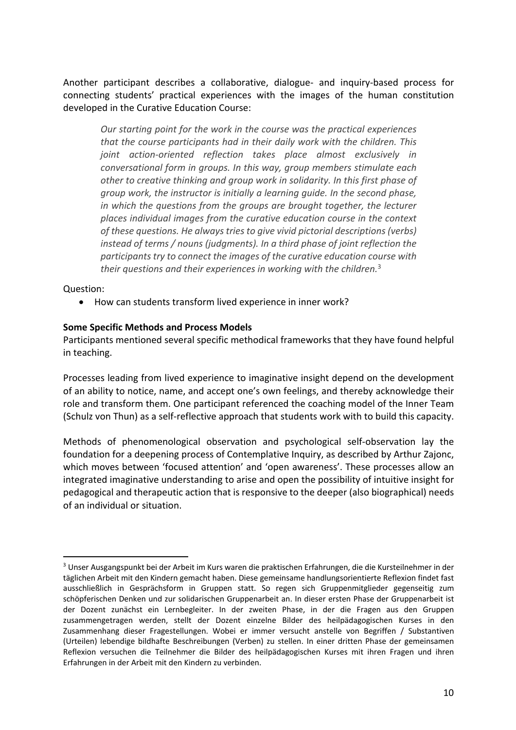Another participant describes a collaborative, dialogue- and inquiry-based process for connecting students' practical experiences with the images of the human constitution developed in the Curative Education Course:

*Our starting point for the work in the course was the practical experiences that the course participants had in their daily work with the children. This joint action-oriented reflection takes place almost exclusively in conversational form in groups. In this way, group members stimulate each other to creative thinking and group work in solidarity. In this first phase of group work, the instructor is initially a learning guide. In the second phase, in which the questions from the groups are brought together, the lecturer places individual images from the curative education course in the context of these questions. He always tries to give vivid pictorial descriptions (verbs) instead of terms / nouns (judgments). In a third phase of joint reflection the participants try to connect the images of the curative education course with their questions and their experiences in working with the children.*<sup>3</sup>

Question:

• How can students transform lived experience in inner work?

#### **Some Specific Methods and Process Models**

Participants mentioned several specific methodical frameworks that they have found helpful in teaching.

Processes leading from lived experience to imaginative insight depend on the development of an ability to notice, name, and accept one's own feelings, and thereby acknowledge their role and transform them. One participant referenced the coaching model of the Inner Team (Schulz von Thun) as a self-reflective approach that students work with to build this capacity.

Methods of phenomenological observation and psychological self-observation lay the foundation for a deepening process of Contemplative Inquiry, as described by Arthur Zajonc, which moves between 'focused attention' and 'open awareness'. These processes allow an integrated imaginative understanding to arise and open the possibility of intuitive insight for pedagogical and therapeutic action that is responsive to the deeper (also biographical) needs of an individual or situation.

<sup>3</sup> Unser Ausgangspunkt bei der Arbeit im Kurs waren die praktischen Erfahrungen, die die Kursteilnehmer in der täglichen Arbeit mit den Kindern gemacht haben. Diese gemeinsame handlungsorientierte Reflexion findet fast ausschließlich in Gesprächsform in Gruppen statt. So regen sich Gruppenmitglieder gegenseitig zum schöpferischen Denken und zur solidarischen Gruppenarbeit an. In dieser ersten Phase der Gruppenarbeit ist der Dozent zunächst ein Lernbegleiter. In der zweiten Phase, in der die Fragen aus den Gruppen zusammengetragen werden, stellt der Dozent einzelne Bilder des heilpädagogischen Kurses in den Zusammenhang dieser Fragestellungen. Wobei er immer versucht anstelle von Begriffen / Substantiven (Urteilen) lebendige bildhafte Beschreibungen (Verben) zu stellen. In einer dritten Phase der gemeinsamen Reflexion versuchen die Teilnehmer die Bilder des heilpädagogischen Kurses mit ihren Fragen und ihren Erfahrungen in der Arbeit mit den Kindern zu verbinden.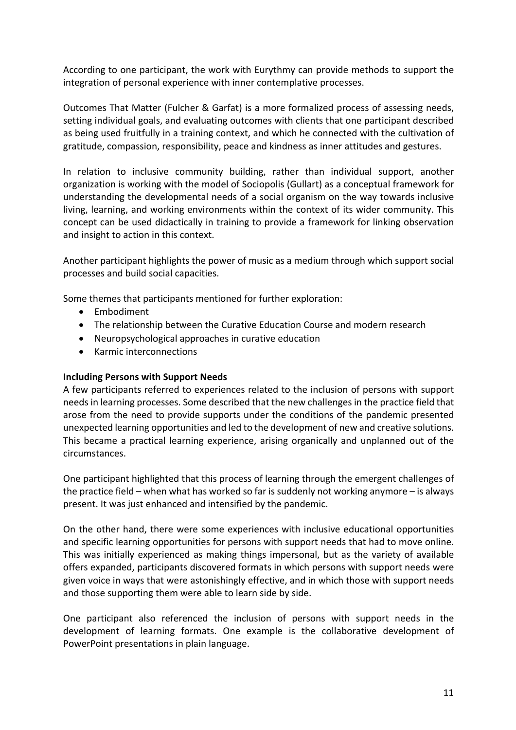According to one participant, the work with Eurythmy can provide methods to support the integration of personal experience with inner contemplative processes.

Outcomes That Matter (Fulcher & Garfat) is a more formalized process of assessing needs, setting individual goals, and evaluating outcomes with clients that one participant described as being used fruitfully in a training context, and which he connected with the cultivation of gratitude, compassion, responsibility, peace and kindness as inner attitudes and gestures.

In relation to inclusive community building, rather than individual support, another organization is working with the model of Sociopolis (Gullart) as a conceptual framework for understanding the developmental needs of a social organism on the way towards inclusive living, learning, and working environments within the context of its wider community. This concept can be used didactically in training to provide a framework for linking observation and insight to action in this context.

Another participant highlights the power of music as a medium through which support social processes and build social capacities.

Some themes that participants mentioned for further exploration:

- Embodiment
- The relationship between the Curative Education Course and modern research
- Neuropsychological approaches in curative education
- Karmic interconnections

#### **Including Persons with Support Needs**

A few participants referred to experiences related to the inclusion of persons with support needs in learning processes. Some described that the new challenges in the practice field that arose from the need to provide supports under the conditions of the pandemic presented unexpected learning opportunities and led to the development of new and creative solutions. This became a practical learning experience, arising organically and unplanned out of the circumstances.

One participant highlighted that this process of learning through the emergent challenges of the practice field – when what has worked so far is suddenly not working anymore – is always present. It was just enhanced and intensified by the pandemic.

On the other hand, there were some experiences with inclusive educational opportunities and specific learning opportunities for persons with support needs that had to move online. This was initially experienced as making things impersonal, but as the variety of available offers expanded, participants discovered formats in which persons with support needs were given voice in ways that were astonishingly effective, and in which those with support needs and those supporting them were able to learn side by side.

One participant also referenced the inclusion of persons with support needs in the development of learning formats. One example is the collaborative development of PowerPoint presentations in plain language.